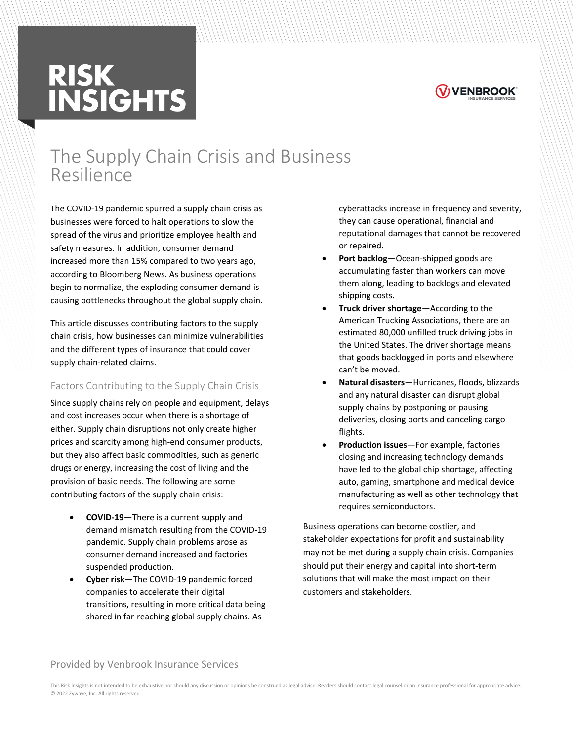# **RISK<br>INSIGHTS**



# The Supply Chain Crisis and Business Resilience

The COVID-19 pandemic spurred a supply chain crisis as businesses were forced to halt operations to slow the spread of the virus and prioritize employee health and safety measures. In addition, consumer demand increased more than 15% compared to two years ago, according to Bloomberg News. As business operations begin to normalize, the exploding consumer demand is causing bottlenecks throughout the global supply chain.

This article discusses contributing factors to the supply chain crisis, how businesses can minimize vulnerabilities and the different types of insurance that could cover supply chain-related claims.

## Factors Contributing to the Supply Chain Crisis

Since supply chains rely on people and equipment, delays and cost increases occur when there is a shortage of either. Supply chain disruptions not only create higher prices and scarcity among high-end consumer products, but they also affect basic commodities, such as generic drugs or energy, increasing the cost of living and the provision of basic needs. The following are some contributing factors of the supply chain crisis:

- **COVID-19**—There is a current supply and demand mismatch resulting from the COVID-19 pandemic. Supply chain problems arose as consumer demand increased and factories suspended production.
- **Cyber risk**—The COVID-19 pandemic forced companies to accelerate their digital transitions, resulting in more critical data being shared in far-reaching global supply chains. As

cyberattacks increase in frequency and severity, they can cause operational, financial and reputational damages that cannot be recovered or repaired.

- **Port backlog**—Ocean-shipped goods are accumulating faster than workers can move them along, leading to backlogs and elevated shipping costs.
- **Truck driver shortage**—According to the American Trucking Associations, there are an estimated 80,000 unfilled truck driving jobs in the United States. The driver shortage means that goods backlogged in ports and elsewhere can't be moved.
- **Natural disasters**—Hurricanes, floods, blizzards and any natural disaster can disrupt global supply chains by postponing or pausing deliveries, closing ports and canceling cargo flights.
- **Production issues**—For example, factories closing and increasing technology demands have led to the global chip shortage, affecting auto, gaming, smartphone and medical device manufacturing as well as other technology that requires semiconductors.

Business operations can become costlier, and stakeholder expectations for profit and sustainability may not be met during a supply chain crisis. Companies should put their energy and capital into short-term solutions that will make the most impact on their customers and stakeholders.

#### Provided by Venbrook Insurance Services

This Risk Insights is not intended to be exhaustive nor should any discussion or opinions be construed as legal advice. Readers should contact legal counsel or an insurance professional for appropriate advice. © 2022 Zywave, Inc. All rights reserved.